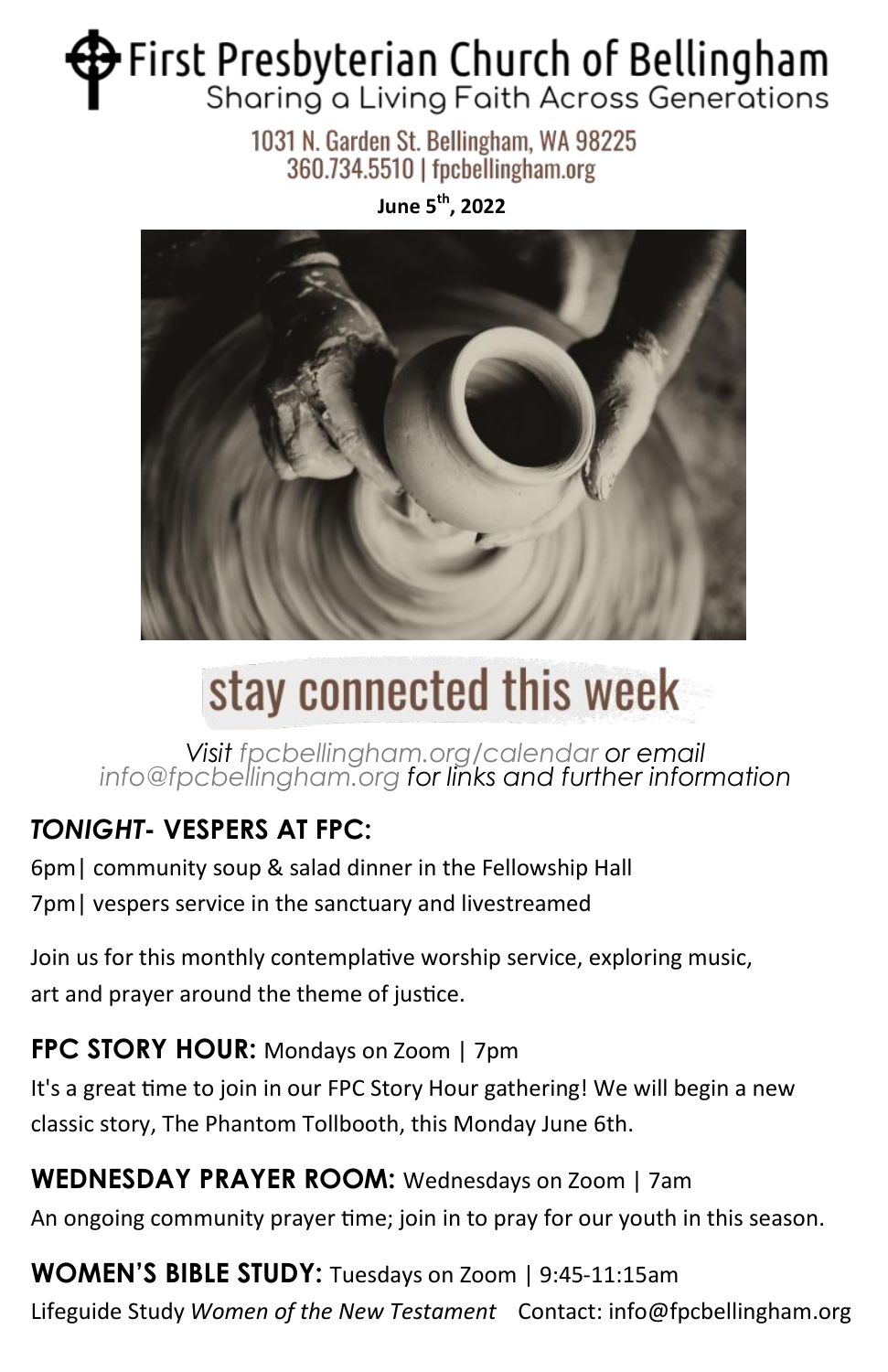# First Presbyterian Church of Bellingham Sharing a Living Faith Across Generations

1031 N. Garden St. Bellingham, WA 98225 360.734.5510 | fpcbellingham.org

**June 5th, 2022**



# stay connected this week

*Visit fpcbellingham.org/calendar or email info@fpcbellingham.org for links and further information*

## *TONIGHT***- VESPERS AT FPC:**

6pm| community soup & salad dinner in the Fellowship Hall 7pm| vespers service in the sanctuary and livestreamed

Join us for this monthly contemplative worship service, exploring music, art and prayer around the theme of justice.

**FPC STORY HOUR:** Mondays on Zoom | 7pm

It's a great time to join in our FPC Story Hour gathering! We will begin a new classic story, The Phantom Tollbooth, this Monday June 6th.

**WEDNESDAY PRAYER ROOM:** Wednesdays on Zoom | 7am

An ongoing community prayer time; join in to pray for our youth in this season.

**WOMEN'S BIBLE STUDY:** Tuesdays on Zoom | 9:45-11:15am Lifeguide Study *Women of the New Testament* Contact: info@fpcbellingham.org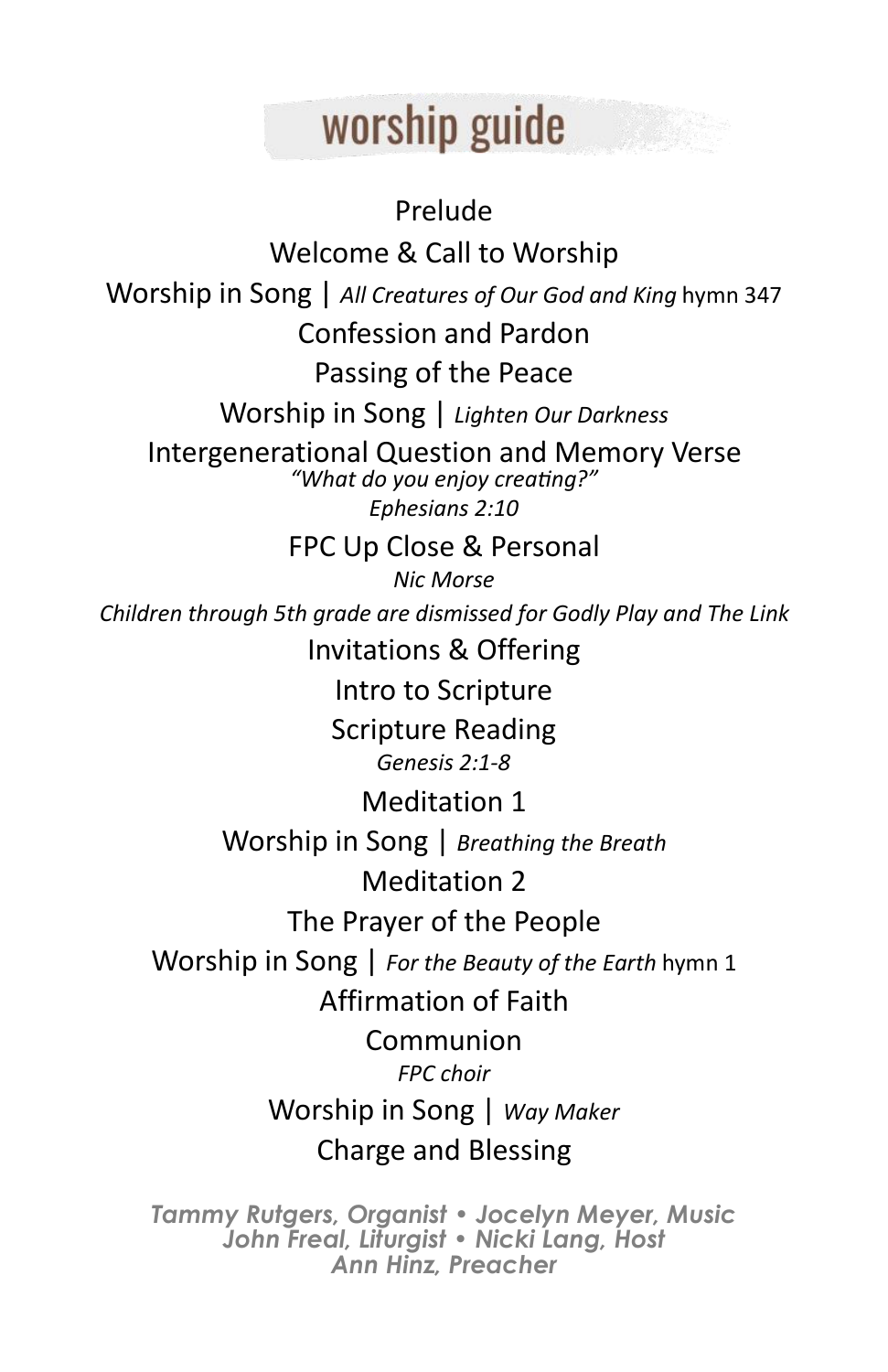# worship guide

Prelude Welcome & Call to Worship Worship in Song | *All Creatures of Our God and King* hymn 347 Confession and Pardon Passing of the Peace Worship in Song | *Lighten Our Darkness* Intergenerational Question and Memory Verse *"What do you enjoy creating?" Ephesians 2:10* FPC Up Close & Personal *Nic Morse Children through 5th grade are dismissed for Godly Play and The Link*  Invitations & Offering Intro to Scripture Scripture Reading *Genesis 2:1-8* Meditation 1 Worship in Song | *Breathing the Breath* Meditation 2 The Prayer of the People Worship in Song | *For the Beauty of the Earth* hymn 1 Affirmation of Faith Communion *FPC choir* Worship in Song | *Way Maker* Charge and Blessing

*Tammy Rutgers, Organist • Jocelyn Meyer, Music John Freal, Liturgist • Nicki Lang, Host Ann Hinz, Preacher*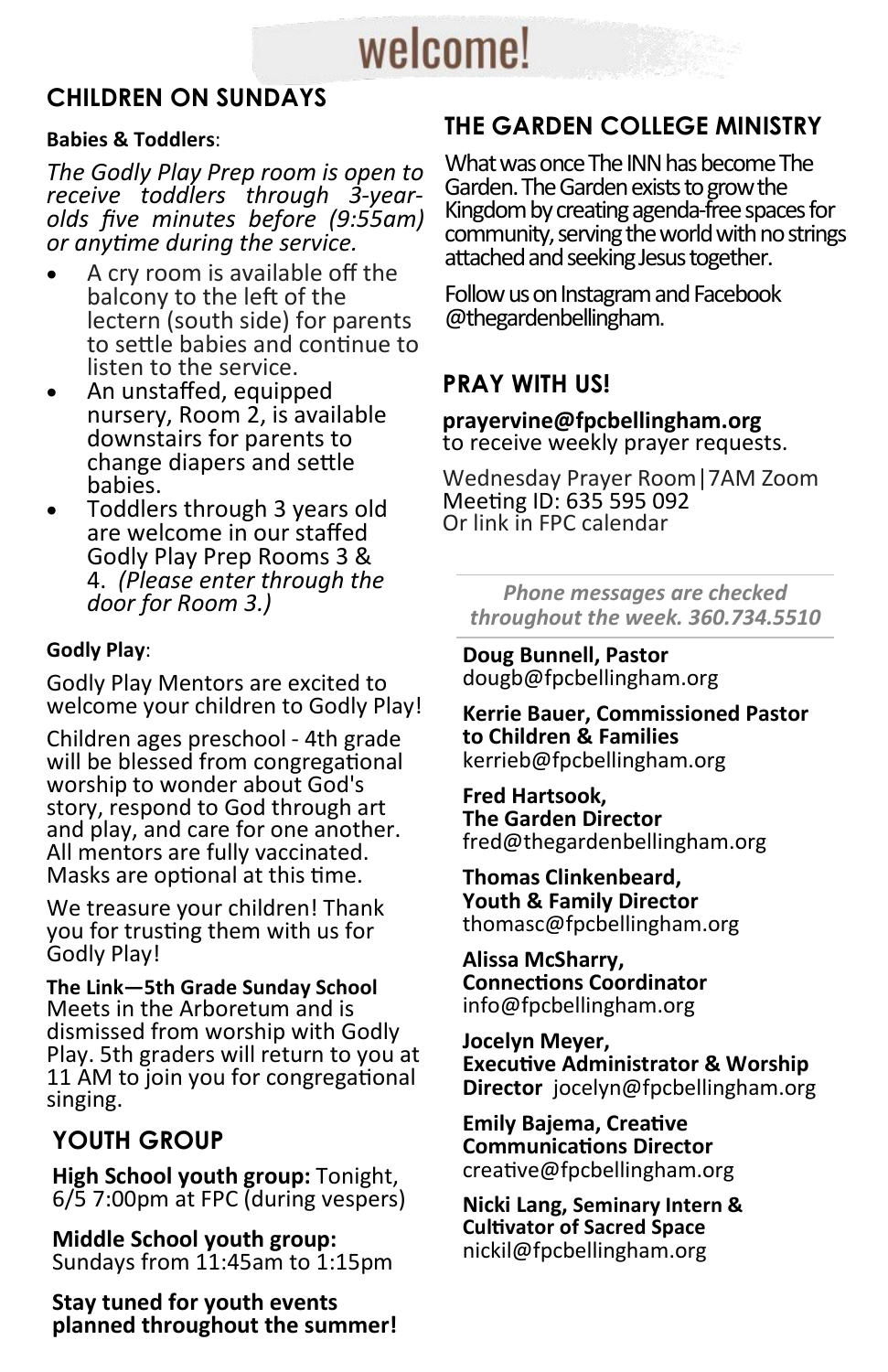# welcome!

### **CHILDREN ON SUNDAYS**

#### **Babies & Toddlers**:

*The Godly Play Prep room is open to receive toddlers through 3-yearolds five minutes before (9:55am) or anytime during the service.*

- A cry room is available off the balcony to the left of the lectern (south side) for parents to settle babies and continue to listen to the service.
- An unstaffed, equipped nursery, Room 2, is available downstairs for parents to change diapers and settle babies.
- Toddlers through 3 years old are welcome in our staffed Godly Play Prep Rooms 3 & 4. *(Please enter through the door for Room 3.)*

#### **Godly Play**:

Godly Play Mentors are excited to welcome your children to Godly Play!

Children ages preschool - 4th grade will be blessed from congregational worship to wonder about God's story, respond to God through art and play, and care for one another. All mentors are fully vaccinated. Masks are optional at this time.

We treasure your children! Thank you for trusting them with us for Godly Play!

**The Link—5th Grade Sunday School** Meets in the Arboretum and is dismissed from worship with Godly Play. 5th graders will return to you at 11 AM to join you for congregational singing.

### **YOUTH GROUP**

**High School youth group:** Tonight, 6/5 7:00pm at FPC (during vespers)

**Middle School youth group:**  Sundays from 11:45am to 1:15pm

**Stay tuned for youth events planned throughout the summer!**

## **THE GARDEN COLLEGE MINISTRY**

What was once The INN has become The Garden. The Garden exists to growthe Kingdom by creating agenda-free spaces for community, serving the world with no strings attached and seeking Jesus together.

Follow us on Instagram and Facebook @thegardenbellingham.

### **PRAY WITH US!**

**prayervine@fpcbellingham.org**  to receive weekly prayer requests.

Wednesday Prayer Room|7AM Zoom Meeting ID: 635 595 092 Or link in FPC calendar

*Phone messages are checked throughout the week. 360.734.5510*

**Doug Bunnell, Pastor**  dougb@fpcbellingham.org

**Kerrie Bauer, Commissioned Pastor to Children & Families**  kerrieb@fpcbellingham.org

**Fred Hartsook, The Garden Director**  fred@thegardenbellingham.org

**Thomas Clinkenbeard, Youth & Family Director**  thomasc@fpcbellingham.org

**Alissa McSharry, Connections Coordinator**  info@fpcbellingham.org

**Jocelyn Meyer, Executive Administrator & Worship Director** jocelyn@fpcbellingham.org

**Emily Bajema, Creative Communications Director** creative@fpcbellingham.org

**Nicki Lang, Seminary Intern & Cultivator of Sacred Space**  nickil@fpcbellingham.org